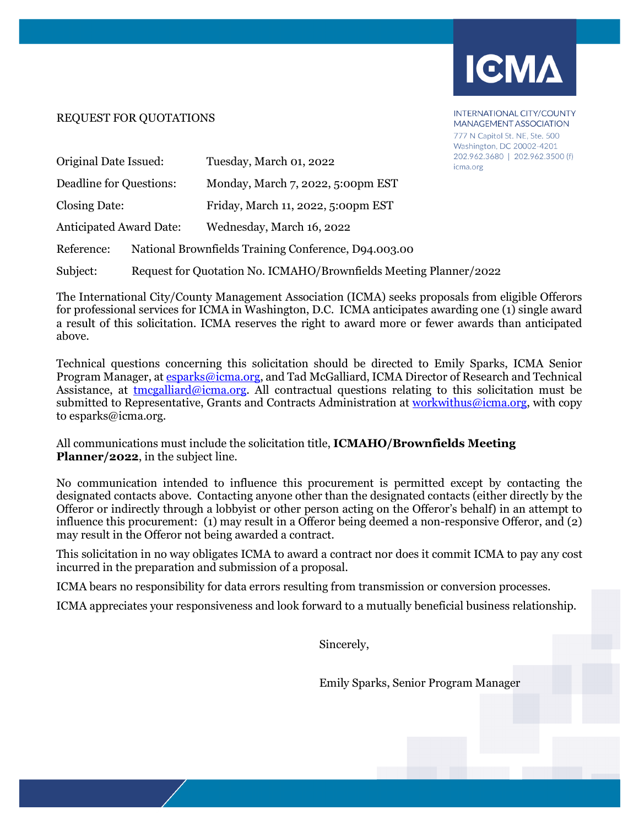

INTERNATIONAL CITY/COUNTY **MANAGEMENT ASSOCIATION** 777 N Capitol St. NE. Ste. 500 Washington, DC 20002-4201

# REQUEST FOR QUOTATIONS

| Original Date Issued:          |                                                                   | 202.962.3680   202.962.3500 (f)<br>Tuesday, March 01, 2022<br>icma.org |  |  |  |
|--------------------------------|-------------------------------------------------------------------|------------------------------------------------------------------------|--|--|--|
| Deadline for Questions:        |                                                                   | Monday, March 7, 2022, 5:00pm EST                                      |  |  |  |
| Closing Date:                  |                                                                   | Friday, March 11, 2022, 5:00pm EST                                     |  |  |  |
| <b>Anticipated Award Date:</b> |                                                                   | Wednesday, March 16, 2022                                              |  |  |  |
| Reference:                     | National Brownfields Training Conference, D94.003.00              |                                                                        |  |  |  |
| Subject:                       | Request for Quotation No. ICMAHO/Brownfields Meeting Planner/2022 |                                                                        |  |  |  |

The International City/County Management Association (ICMA) seeks proposals from eligible Offerors for professional services for ICMA in Washington, D.C. ICMA anticipates awarding one (1) single award a result of this solicitation. ICMA reserves the right to award more or fewer awards than anticipated above.

Technical questions concerning this solicitation should be directed to Emily Sparks, ICMA Senior Program Manager, at [esparks@icma.org,](mailto:esparks@icma.org) and Tad McGalliard, ICMA Director of Research and Technical Assistance, at  ${\rm \frac{tmegalliard@iema.org.}}$  All contractual questions relating to this solicitation must be submitted to Representative, Grants and Contracts Administration at [workwithus@icma.org,](mailto:tjohnson@icma.org) with copy to esparks@icma.org.

All communications must include the solicitation title, **ICMAHO/Brownfields Meeting Planner/2022**, in the subject line.

No communication intended to influence this procurement is permitted except by contacting the designated contacts above. Contacting anyone other than the designated contacts (either directly by the Offeror or indirectly through a lobbyist or other person acting on the Offeror's behalf) in an attempt to influence this procurement: (1) may result in a Offeror being deemed a non-responsive Offeror, and (2) may result in the Offeror not being awarded a contract.

This solicitation in no way obligates ICMA to award a contract nor does it commit ICMA to pay any cost incurred in the preparation and submission of a proposal.

ICMA bears no responsibility for data errors resulting from transmission or conversion processes.

ICMA appreciates your responsiveness and look forward to a mutually beneficial business relationship.

Sincerely,

Emily Sparks, Senior Program Manager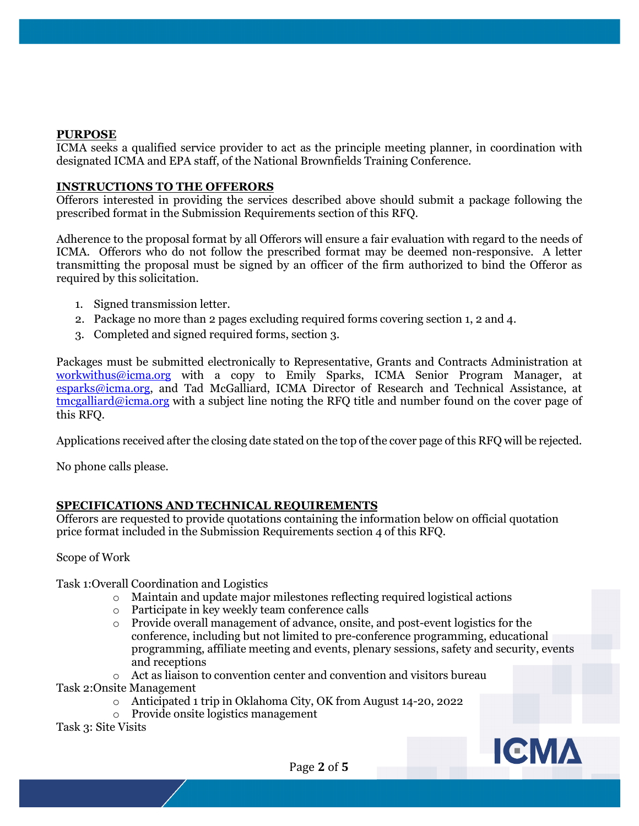### **PURPOSE**

ICMA seeks a qualified service provider to act as the principle meeting planner, in coordination with designated ICMA and EPA staff, of the National Brownfields Training Conference.

### **INSTRUCTIONS TO THE OFFERORS**

Offerors interested in providing the services described above should submit a package following the prescribed format in the Submission Requirements section of this RFQ.

Adherence to the proposal format by all Offerors will ensure a fair evaluation with regard to the needs of ICMA. Offerors who do not follow the prescribed format may be deemed non-responsive. A letter transmitting the proposal must be signed by an officer of the firm authorized to bind the Offeror as required by this solicitation.

- 1. Signed transmission letter.
- 2. Package no more than 2 pages excluding required forms covering section 1, 2 and 4.
- 3. Completed and signed required forms, section 3.

Packages must be submitted electronically to Representative, Grants and Contracts Administration at [workwithus@icma.org](mailto:ikaushansky@icma.org) with a copy to Emily Sparks, ICMA Senior Program Manager, at [esparks@icma.org,](mailto:esparks@icma.org) and Tad McGalliard, ICMA Director of Research and Technical Assistance, at [tmcgalliard@icma.org](mailto:tmcgalliard@icma.org) with a subject line noting the RFQ title and number found on the cover page of this RFQ.

Applications received after the closing date stated on the top of the cover page of this RFQ will be rejected.

No phone calls please.

## **SPECIFICATIONS AND TECHNICAL REQUIREMENTS**

Offerors are requested to provide quotations containing the information below on official quotation price format included in the Submission Requirements section 4 of this RFQ.

#### Scope of Work

Task 1:Overall Coordination and Logistics

- o Maintain and update major milestones reflecting required logistical actions
- o Participate in key weekly team conference calls
- o Provide overall management of advance, onsite, and post-event logistics for the conference, including but not limited to pre-conference programming, educational programming, affiliate meeting and events, plenary sessions, safety and security, events and receptions

o Act as liaison to convention center and convention and visitors bureau Task 2:Onsite Management

- o Anticipated 1 trip in Oklahoma City, OK from August 14-20, 2022
- o Provide onsite logistics management

Task 3: Site Visits

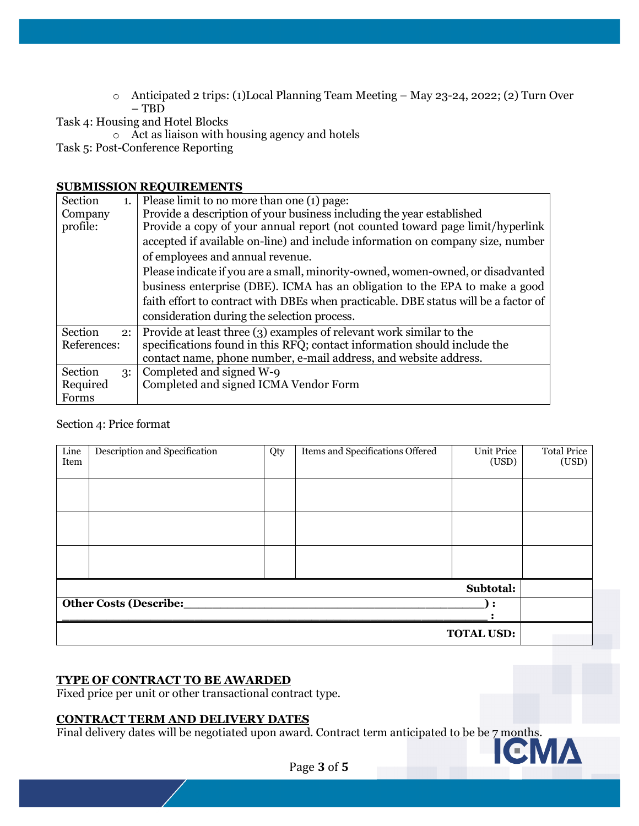o Anticipated 2 trips: (1)Local Planning Team Meeting – May 23-24, 2022; (2) Turn Over – TBD

Task 4: Housing and Hotel Blocks

o Act as liaison with housing agency and hotels

Task 5: Post-Conference Reporting

### **SUBMISSION REQUIREMENTS**

| Section                                           |                                                                                 | 1. Please limit to no more than one $(1)$ page:                                     |  |  |  |  |  |
|---------------------------------------------------|---------------------------------------------------------------------------------|-------------------------------------------------------------------------------------|--|--|--|--|--|
| Company                                           | Provide a description of your business including the year established           |                                                                                     |  |  |  |  |  |
| profile:                                          | Provide a copy of your annual report (not counted toward page limit/hyperlink   |                                                                                     |  |  |  |  |  |
|                                                   | accepted if available on-line) and include information on company size, number  |                                                                                     |  |  |  |  |  |
|                                                   | of employees and annual revenue.                                                |                                                                                     |  |  |  |  |  |
|                                                   | Please indicate if you are a small, minority-owned, women-owned, or disadvanted |                                                                                     |  |  |  |  |  |
|                                                   | business enterprise (DBE). ICMA has an obligation to the EPA to make a good     |                                                                                     |  |  |  |  |  |
|                                                   |                                                                                 | faith effort to contract with DBEs when practicable. DBE status will be a factor of |  |  |  |  |  |
|                                                   | consideration during the selection process.                                     |                                                                                     |  |  |  |  |  |
| Section                                           |                                                                                 | 2: Provide at least three $(3)$ examples of relevant work similar to the            |  |  |  |  |  |
| References:                                       |                                                                                 | specifications found in this RFQ; contact information should include the            |  |  |  |  |  |
|                                                   |                                                                                 | contact name, phone number, e-mail address, and website address.                    |  |  |  |  |  |
| Section                                           | 3:                                                                              | Completed and signed W-9                                                            |  |  |  |  |  |
| Completed and signed ICMA Vendor Form<br>Required |                                                                                 |                                                                                     |  |  |  |  |  |
| Forms                                             |                                                                                 |                                                                                     |  |  |  |  |  |

## Section 4: Price format

| Line<br>Item                  | Description and Specification | Qty | Items and Specifications Offered | <b>Unit Price</b><br>(USD) | <b>Total Price</b><br>(USD) |  |  |
|-------------------------------|-------------------------------|-----|----------------------------------|----------------------------|-----------------------------|--|--|
|                               |                               |     |                                  |                            |                             |  |  |
|                               |                               |     |                                  |                            |                             |  |  |
|                               |                               |     |                                  |                            |                             |  |  |
| Subtotal:                     |                               |     |                                  |                            |                             |  |  |
| <b>Other Costs (Describe:</b> |                               |     |                                  |                            |                             |  |  |
| <b>TOTAL USD:</b>             |                               |     |                                  |                            |                             |  |  |

## **TYPE OF CONTRACT TO BE AWARDED**

Fixed price per unit or other transactional contract type.

## **CONTRACT TERM AND DELIVERY DATES**

Final delivery dates will be negotiated upon award. Contract term anticipated to be be 7 months.



Page **3** of **5**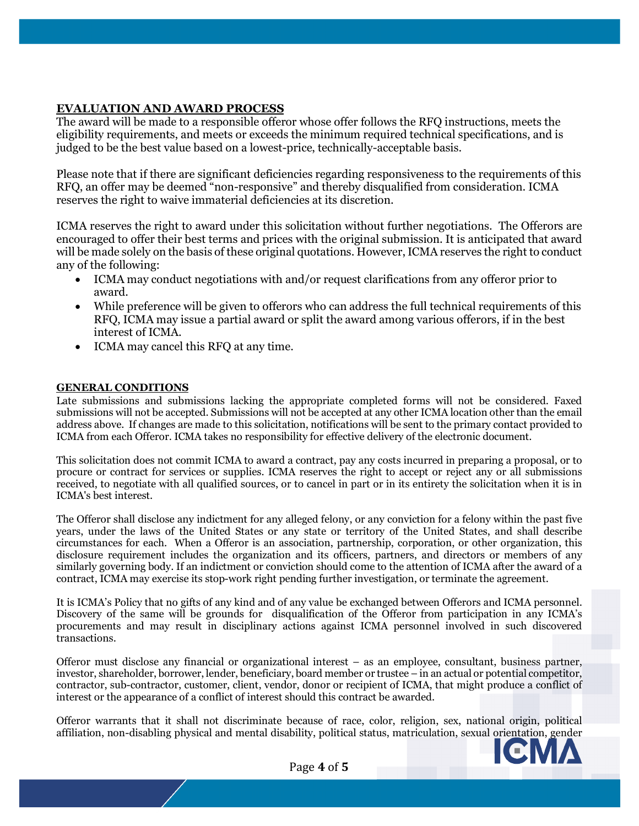### **EVALUATION AND AWARD PROCESS**

The award will be made to a responsible offeror whose offer follows the RFQ instructions, meets the eligibility requirements, and meets or exceeds the minimum required technical specifications, and is judged to be the best value based on a lowest-price, technically-acceptable basis.

Please note that if there are significant deficiencies regarding responsiveness to the requirements of this RFQ, an offer may be deemed "non-responsive" and thereby disqualified from consideration. ICMA reserves the right to waive immaterial deficiencies at its discretion.

ICMA reserves the right to award under this solicitation without further negotiations. The Offerors are encouraged to offer their best terms and prices with the original submission. It is anticipated that award will be made solely on the basis of these original quotations. However, ICMA reserves the right to conduct any of the following:

- ICMA may conduct negotiations with and/or request clarifications from any offeror prior to award.
- While preference will be given to offerors who can address the full technical requirements of this RFQ, ICMA may issue a partial award or split the award among various offerors, if in the best interest of ICMA.
- ICMA may cancel this RFQ at any time.

#### **GENERAL CONDITIONS**

Late submissions and submissions lacking the appropriate completed forms will not be considered. Faxed submissions will not be accepted. Submissions will not be accepted at any other ICMA location other than the email address above. If changes are made to this solicitation, notifications will be sent to the primary contact provided to ICMA from each Offeror. ICMA takes no responsibility for effective delivery of the electronic document.

This solicitation does not commit ICMA to award a contract, pay any costs incurred in preparing a proposal, or to procure or contract for services or supplies. ICMA reserves the right to accept or reject any or all submissions received, to negotiate with all qualified sources, or to cancel in part or in its entirety the solicitation when it is in ICMA's best interest.

The Offeror shall disclose any indictment for any alleged felony, or any conviction for a felony within the past five years, under the laws of the United States or any state or territory of the United States, and shall describe circumstances for each. When a Offeror is an association, partnership, corporation, or other organization, this disclosure requirement includes the organization and its officers, partners, and directors or members of any similarly governing body. If an indictment or conviction should come to the attention of ICMA after the award of a contract, ICMA may exercise its stop-work right pending further investigation, or terminate the agreement.

It is ICMA's Policy that no gifts of any kind and of any value be exchanged between Offerors and ICMA personnel. Discovery of the same will be grounds for disqualification of the Offeror from participation in any ICMA's procurements and may result in disciplinary actions against ICMA personnel involved in such discovered transactions.

Offeror must disclose any financial or organizational interest – as an employee, consultant, business partner, investor, shareholder, borrower, lender, beneficiary, board member or trustee – in an actual or potential competitor, contractor, sub-contractor, customer, client, vendor, donor or recipient of ICMA, that might produce a conflict of interest or the appearance of a conflict of interest should this contract be awarded.

Offeror warrants that it shall not discriminate because of race, color, religion, sex, national origin, political affiliation, non-disabling physical and mental disability, political status, matriculation, sexual orientation, gender



Page **4** of **5**